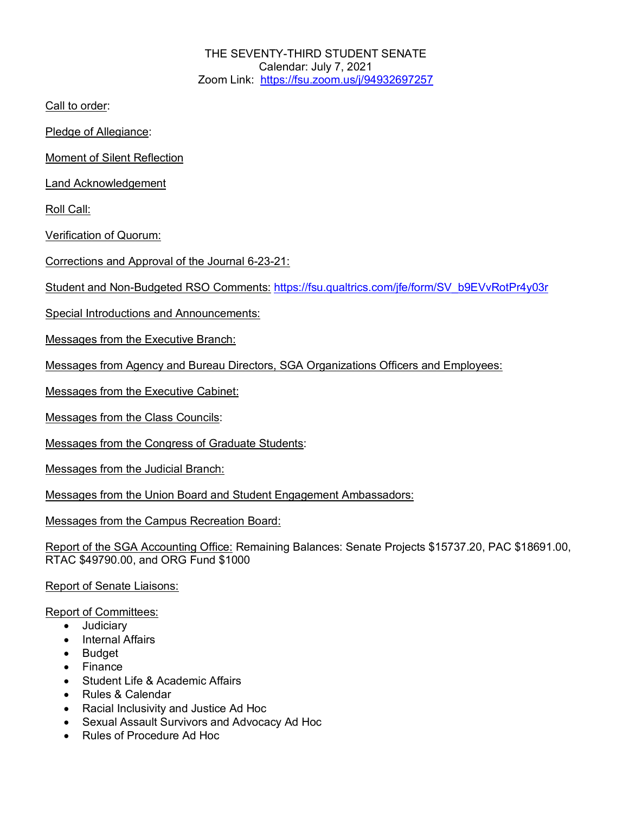THE SEVENTY-THIRD STUDENT SENATE Calendar: July 7, 2021 Zoom Link: https://fsu.zoom.us/j/94932697257

Call to order:

Pledge of Allegiance:

Moment of Silent Reflection

Land Acknowledgement

Roll Call:

Verification of Quorum:

Corrections and Approval of the Journal 6-23-21:

Student and Non-Budgeted RSO Comments: https://fsu.qualtrics.com/jfe/form/SV\_b9EVvRotPr4y03r

Special Introductions and Announcements:

Messages from the Executive Branch:

Messages from Agency and Bureau Directors, SGA Organizations Officers and Employees:

Messages from the Executive Cabinet:

Messages from the Class Councils:

Messages from the Congress of Graduate Students:

Messages from the Judicial Branch:

Messages from the Union Board and Student Engagement Ambassadors:

Messages from the Campus Recreation Board:

Report of the SGA Accounting Office: Remaining Balances: Senate Projects \$15737.20, PAC \$18691.00, RTAC \$49790.00, and ORG Fund \$1000

Report of Senate Liaisons:

Report of Committees:

- Judiciary
- Internal Affairs
- Budget
- Finance
- Student Life & Academic Affairs
- Rules & Calendar
- Racial Inclusivity and Justice Ad Hoc
- Sexual Assault Survivors and Advocacy Ad Hoc
- Rules of Procedure Ad Hoc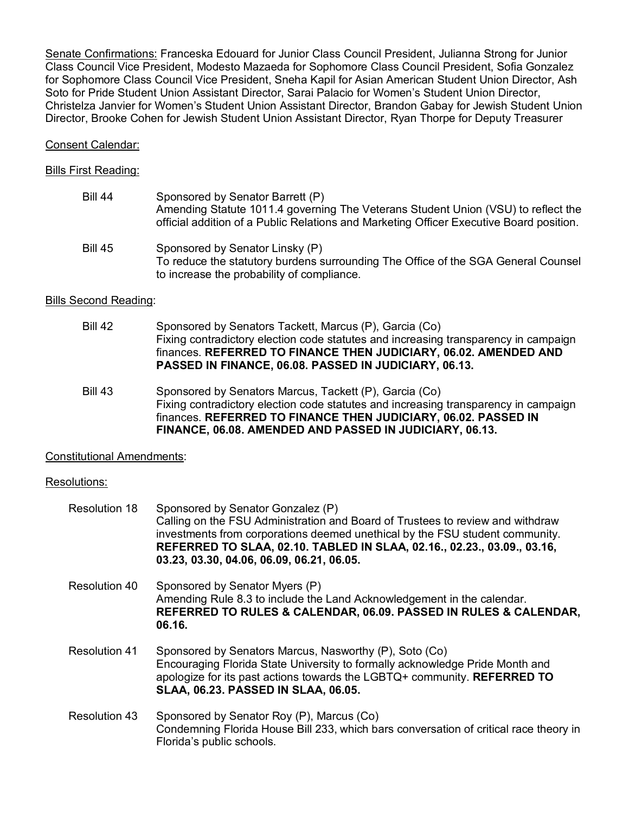Senate Confirmations: Franceska Edouard for Junior Class Council President, Julianna Strong for Junior Class Council Vice President, Modesto Mazaeda for Sophomore Class Council President, Sofia Gonzalez for Sophomore Class Council Vice President, Sneha Kapil for Asian American Student Union Director, Ash Soto for Pride Student Union Assistant Director, Sarai Palacio for Women's Student Union Director, Christelza Janvier for Women's Student Union Assistant Director, Brandon Gabay for Jewish Student Union Director, Brooke Cohen for Jewish Student Union Assistant Director, Ryan Thorpe for Deputy Treasurer

## Consent Calendar:

#### Bills First Reading:

| <b>Bill 44</b> | Sponsored by Senator Barrett (P)<br>Amending Statute 1011.4 governing The Veterans Student Union (VSU) to reflect the<br>official addition of a Public Relations and Marketing Officer Executive Board position. |
|----------------|------------------------------------------------------------------------------------------------------------------------------------------------------------------------------------------------------------------|
| <b>Bill 45</b> | Sponsored by Senator Linsky (P)<br>To reduce the statutory burdens surrounding The Office of the SGA General Counsel<br>to increase the probability of compliance.                                               |

## Bills Second Reading:

- Bill 42 Sponsored by Senators Tackett, Marcus (P), Garcia (Co) Fixing contradictory election code statutes and increasing transparency in campaign finances. **REFERRED TO FINANCE THEN JUDICIARY, 06.02. AMENDED AND PASSED IN FINANCE, 06.08. PASSED IN JUDICIARY, 06.13.**
- Bill 43 Sponsored by Senators Marcus, Tackett (P), Garcia (Co) Fixing contradictory election code statutes and increasing transparency in campaign finances. **REFERRED TO FINANCE THEN JUDICIARY, 06.02. PASSED IN FINANCE, 06.08. AMENDED AND PASSED IN JUDICIARY, 06.13.**

#### Constitutional Amendments:

#### Resolutions:

| Resolution 18        | Sponsored by Senator Gonzalez (P)<br>Calling on the FSU Administration and Board of Trustees to review and withdraw<br>investments from corporations deemed unethical by the FSU student community.<br>REFERRED TO SLAA, 02.10. TABLED IN SLAA, 02.16., 02.23., 03.09., 03.16,<br>03.23, 03.30, 04.06, 06.09, 06.21, 06.05. |
|----------------------|-----------------------------------------------------------------------------------------------------------------------------------------------------------------------------------------------------------------------------------------------------------------------------------------------------------------------------|
| Resolution 40        | Sponsored by Senator Myers (P)<br>Amending Rule 8.3 to include the Land Acknowledgement in the calendar.<br>REFERRED TO RULES & CALENDAR, 06.09. PASSED IN RULES & CALENDAR,<br>06.16.                                                                                                                                      |
| <b>Resolution 41</b> | Sponsored by Senators Marcus, Nasworthy (P), Soto (Co)<br>Encouraging Florida State University to formally acknowledge Pride Month and<br>apologize for its past actions towards the LGBTQ+ community. REFERRED TO<br><b>SLAA, 06.23. PASSED IN SLAA, 06.05.</b>                                                            |
| <b>Resolution 43</b> | Sponsored by Senator Roy (P), Marcus (Co)<br>Condemning Florida House Bill 233, which bars conversation of critical race theory in<br>Florida's public schools.                                                                                                                                                             |